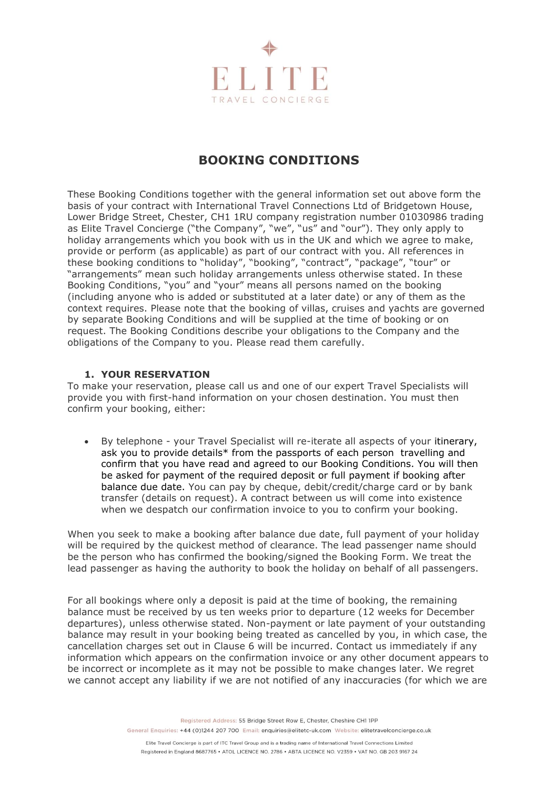

# **BOOKING CONDITIONS**

These Booking Conditions together with the general information set out above form the basis of your contract with International Travel Connections Ltd of Bridgetown House, Lower Bridge Street, Chester, CH1 1RU company registration number 01030986 trading as Elite Travel Concierge ("the Company", "we", "us" and "our"). They only apply to holiday arrangements which you book with us in the UK and which we agree to make, provide or perform (as applicable) as part of our contract with you. All references in these booking conditions to "holiday", "booking", "contract", "package", "tour" or "arrangements" mean such holiday arrangements unless otherwise stated. In these Booking Conditions, "you" and "your" means all persons named on the booking (including anyone who is added or substituted at a later date) or any of them as the context requires. Please note that the booking of villas, cruises and yachts are governed by separate Booking Conditions and will be supplied at the time of booking or on request. The Booking Conditions describe your obligations to the Company and the obligations of the Company to you. Please read them carefully.

# **1. YOUR RESERVATION**

To make your reservation, please call us and one of our expert Travel Specialists will provide you with first-hand information on your chosen destination. You must then confirm your booking, either:

• By telephone - your Travel Specialist will re-iterate all aspects of your itinerary, ask you to provide details\* from the passports of each person travelling and confirm that you have read and agreed to our Booking Conditions. You will then be asked for payment of the required deposit or full payment if booking after balance due date. You can pay by cheque, debit/credit/charge card or by bank transfer (details on request). A contract between us will come into existence when we despatch our confirmation invoice to you to confirm your booking.

When you seek to make a booking after balance due date, full payment of your holiday will be required by the quickest method of clearance. The lead passenger name should be the person who has confirmed the booking/signed the Booking Form. We treat the lead passenger as having the authority to book the holiday on behalf of all passengers.

For all bookings where only a deposit is paid at the time of booking, the remaining balance must be received by us ten weeks prior to departure (12 weeks for December departures), unless otherwise stated. Non-payment or late payment of your outstanding balance may result in your booking being treated as cancelled by you, in which case, the cancellation charges set out in Clause 6 will be incurred. Contact us immediately if any information which appears on the confirmation invoice or any other document appears to be incorrect or incomplete as it may not be possible to make changes later. We regret we cannot accept any liability if we are not notified of any inaccuracies (for which we are

> Registered Address: 55 Bridge Street Row E. Chester, Cheshire CH1 1PP General Enquiries: +44 (0)1244 207 700 Email: enquiries@elitetc-uk.com Website: elitetravelconcierge.co.uk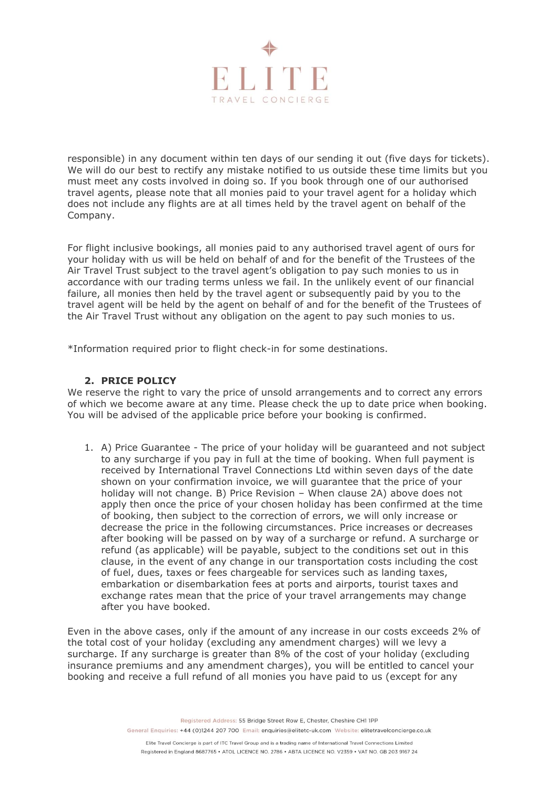

responsible) in any document within ten days of our sending it out (five days for tickets). We will do our best to rectify any mistake notified to us outside these time limits but you must meet any costs involved in doing so. If you book through one of our authorised travel agents, please note that all monies paid to your travel agent for a holiday which does not include any flights are at all times held by the travel agent on behalf of the Company.

For flight inclusive bookings, all monies paid to any authorised travel agent of ours for your holiday with us will be held on behalf of and for the benefit of the Trustees of the Air Travel Trust subject to the travel agent's obligation to pay such monies to us in accordance with our trading terms unless we fail. In the unlikely event of our financial failure, all monies then held by the travel agent or subsequently paid by you to the travel agent will be held by the agent on behalf of and for the benefit of the Trustees of the Air Travel Trust without any obligation on the agent to pay such monies to us.

\*Information required prior to flight check-in for some destinations.

# **2. PRICE POLICY**

We reserve the right to vary the price of unsold arrangements and to correct any errors of which we become aware at any time. Please check the up to date price when booking. You will be advised of the applicable price before your booking is confirmed.

1. A) Price Guarantee - The price of your holiday will be guaranteed and not subject to any surcharge if you pay in full at the time of booking. When full payment is received by International Travel Connections Ltd within seven days of the date shown on your confirmation invoice, we will guarantee that the price of your holiday will not change. B) Price Revision – When clause 2A) above does not apply then once the price of your chosen holiday has been confirmed at the time of booking, then subject to the correction of errors, we will only increase or decrease the price in the following circumstances. Price increases or decreases after booking will be passed on by way of a surcharge or refund. A surcharge or refund (as applicable) will be payable, subject to the conditions set out in this clause, in the event of any change in our transportation costs including the cost of fuel, dues, taxes or fees chargeable for services such as landing taxes, embarkation or disembarkation fees at ports and airports, tourist taxes and exchange rates mean that the price of your travel arrangements may change after you have booked.

Even in the above cases, only if the amount of any increase in our costs exceeds 2% of the total cost of your holiday (excluding any amendment charges) will we levy a surcharge. If any surcharge is greater than 8% of the cost of your holiday (excluding insurance premiums and any amendment charges), you will be entitled to cancel your booking and receive a full refund of all monies you have paid to us (except for any

> Registered Address: 55 Bridge Street Row E, Chester, Cheshire CH1 1PP General Enquiries: +44 (0)1244 207 700 Email: enquiries@elitetc-uk.com Website: elitetravelconcierge.co.uk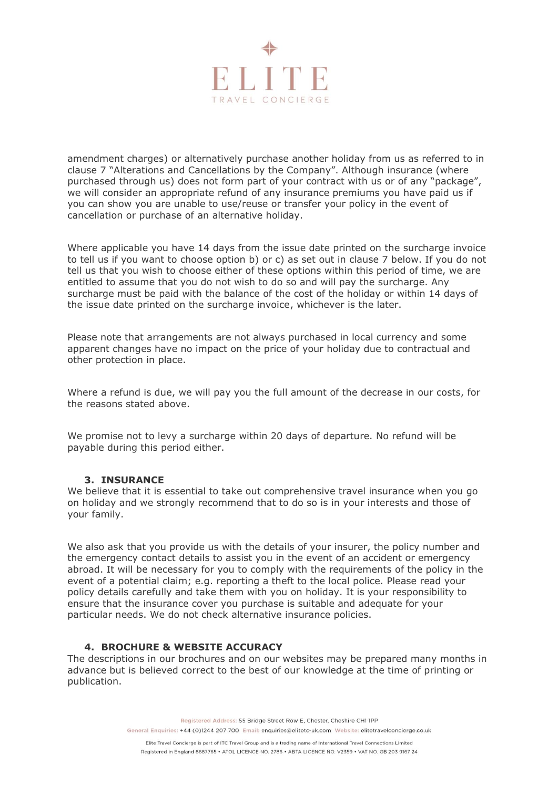

amendment charges) or alternatively purchase another holiday from us as referred to in clause 7 "Alterations and Cancellations by the Company". Although insurance (where purchased through us) does not form part of your contract with us or of any "package", we will consider an appropriate refund of any insurance premiums you have paid us if you can show you are unable to use/reuse or transfer your policy in the event of cancellation or purchase of an alternative holiday.

Where applicable you have 14 days from the issue date printed on the surcharge invoice to tell us if you want to choose option b) or c) as set out in clause 7 below. If you do not tell us that you wish to choose either of these options within this period of time, we are entitled to assume that you do not wish to do so and will pay the surcharge. Any surcharge must be paid with the balance of the cost of the holiday or within 14 days of the issue date printed on the surcharge invoice, whichever is the later.

Please note that arrangements are not always purchased in local currency and some apparent changes have no impact on the price of your holiday due to contractual and other protection in place.

Where a refund is due, we will pay you the full amount of the decrease in our costs, for the reasons stated above.

We promise not to levy a surcharge within 20 days of departure. No refund will be payable during this period either.

#### **3. INSURANCE**

We believe that it is essential to take out comprehensive travel insurance when you go on holiday and we strongly recommend that to do so is in your interests and those of your family.

We also ask that you provide us with the details of your insurer, the policy number and the emergency contact details to assist you in the event of an accident or emergency abroad. It will be necessary for you to comply with the requirements of the policy in the event of a potential claim; e.g. reporting a theft to the local police. Please read your policy details carefully and take them with you on holiday. It is your responsibility to ensure that the insurance cover you purchase is suitable and adequate for your particular needs. We do not check alternative insurance policies.

# **4. BROCHURE & WEBSITE ACCURACY**

The descriptions in our brochures and on our websites may be prepared many months in advance but is believed correct to the best of our knowledge at the time of printing or publication.

> Registered Address: 55 Bridge Street Row E, Chester, Cheshire CH1 1PP General Enquiries: +44 (0)1244 207 700 Email: enquiries@elitetc-uk.com Website: elitetravelconcierge.co.uk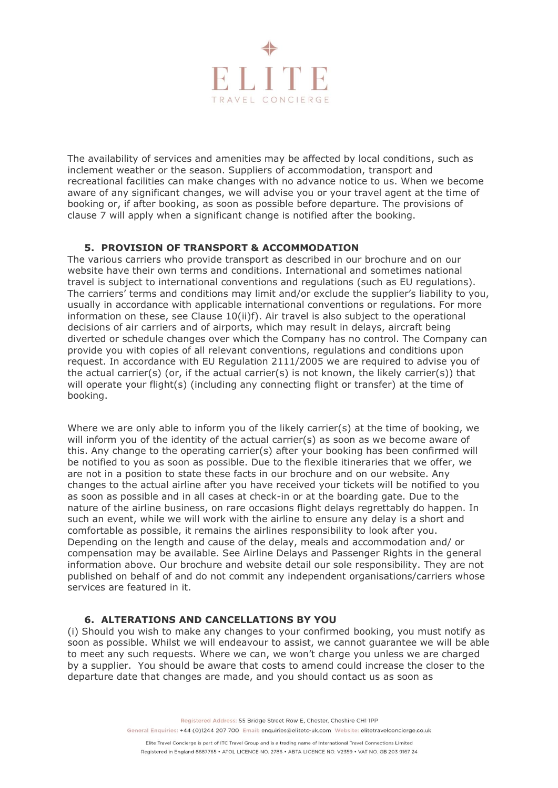

The availability of services and amenities may be affected by local conditions, such as inclement weather or the season. Suppliers of accommodation, transport and recreational facilities can make changes with no advance notice to us. When we become aware of any significant changes, we will advise you or your travel agent at the time of booking or, if after booking, as soon as possible before departure. The provisions of clause 7 will apply when a significant change is notified after the booking.

# **5. PROVISION OF TRANSPORT & ACCOMMODATION**

The various carriers who provide transport as described in our brochure and on our website have their own terms and conditions. International and sometimes national travel is subject to international conventions and regulations (such as EU regulations). The carriers' terms and conditions may limit and/or exclude the supplier's liability to you, usually in accordance with applicable international conventions or regulations. For more information on these, see Clause 10(ii)f). Air travel is also subject to the operational decisions of air carriers and of airports, which may result in delays, aircraft being diverted or schedule changes over which the Company has no control. The Company can provide you with copies of all relevant conventions, regulations and conditions upon request. In accordance with EU Regulation 2111/2005 we are required to advise you of the actual carrier(s) (or, if the actual carrier(s) is not known, the likely carrier(s)) that will operate your flight(s) (including any connecting flight or transfer) at the time of booking.

Where we are only able to inform you of the likely carrier(s) at the time of booking, we will inform you of the identity of the actual carrier(s) as soon as we become aware of this. Any change to the operating carrier(s) after your booking has been confirmed will be notified to you as soon as possible. Due to the flexible itineraries that we offer, we are not in a position to state these facts in our brochure and on our website. Any changes to the actual airline after you have received your tickets will be notified to you as soon as possible and in all cases at check-in or at the boarding gate. Due to the nature of the airline business, on rare occasions flight delays regrettably do happen. In such an event, while we will work with the airline to ensure any delay is a short and comfortable as possible, it remains the airlines responsibility to look after you. Depending on the length and cause of the delay, meals and accommodation and/ or compensation may be available. See Airline Delays and Passenger Rights in the general information above. Our brochure and website detail our sole responsibility. They are not published on behalf of and do not commit any independent organisations/carriers whose services are featured in it.

# **6. ALTERATIONS AND CANCELLATIONS BY YOU**

(i) Should you wish to make any changes to your confirmed booking, you must notify as soon as possible. Whilst we will endeavour to assist, we cannot guarantee we will be able to meet any such requests. Where we can, we won't charge you unless we are charged by a supplier. You should be aware that costs to amend could increase the closer to the departure date that changes are made, and you should contact us as soon as

> Registered Address: 55 Bridge Street Row E, Chester, Cheshire CH1 1PP General Enquiries: +44 (0)1244 207 700 Email: enquiries@elitetc-uk.com Website: elitetravelconcierge.co.uk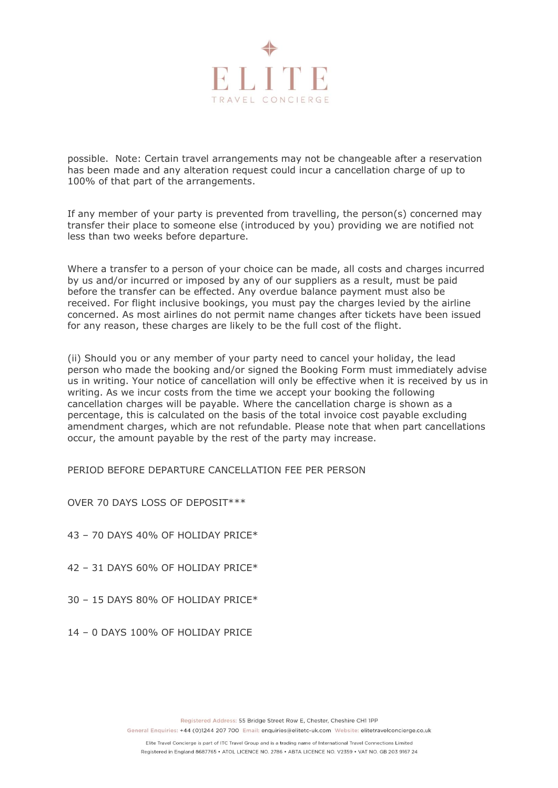

possible. Note: Certain travel arrangements may not be changeable after a reservation has been made and any alteration request could incur a cancellation charge of up to 100% of that part of the arrangements.

If any member of your party is prevented from travelling, the person(s) concerned may transfer their place to someone else (introduced by you) providing we are notified not less than two weeks before departure.

Where a transfer to a person of your choice can be made, all costs and charges incurred by us and/or incurred or imposed by any of our suppliers as a result, must be paid before the transfer can be effected. Any overdue balance payment must also be received. For flight inclusive bookings, you must pay the charges levied by the airline concerned. As most airlines do not permit name changes after tickets have been issued for any reason, these charges are likely to be the full cost of the flight.

(ii) Should you or any member of your party need to cancel your holiday, the lead person who made the booking and/or signed the Booking Form must immediately advise us in writing. Your notice of cancellation will only be effective when it is received by us in writing. As we incur costs from the time we accept your booking the following cancellation charges will be payable. Where the cancellation charge is shown as a percentage, this is calculated on the basis of the total invoice cost payable excluding amendment charges, which are not refundable. Please note that when part cancellations occur, the amount payable by the rest of the party may increase.

PERIOD BEFORE DEPARTURE CANCELLATION FEE PER PERSON

OVER 70 DAYS LOSS OF DEPOSIT\*\*\*

- 43 70 DAYS 40% OF HOLIDAY PRICE\*
- 42 31 DAYS 60% OF HOLIDAY PRICE\*
- 30 15 DAYS 80% OF HOLIDAY PRICE\*
- 14 0 DAYS 100% OF HOLIDAY PRICE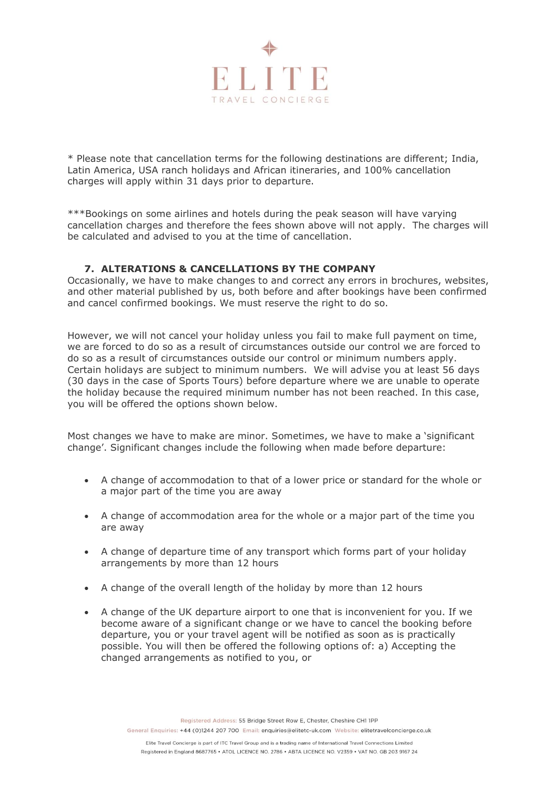

\* Please note that cancellation terms for the following destinations are different; India, Latin America, USA ranch holidays and African itineraries, and 100% cancellation charges will apply within 31 days prior to departure.

\*\*\*Bookings on some airlines and hotels during the peak season will have varying cancellation charges and therefore the fees shown above will not apply. The charges will be calculated and advised to you at the time of cancellation.

# **7. ALTERATIONS & CANCELLATIONS BY THE COMPANY**

Occasionally, we have to make changes to and correct any errors in brochures, websites, and other material published by us, both before and after bookings have been confirmed and cancel confirmed bookings. We must reserve the right to do so.

However, we will not cancel your holiday unless you fail to make full payment on time, we are forced to do so as a result of circumstances outside our control we are forced to do so as a result of circumstances outside our control or minimum numbers apply. Certain holidays are subject to minimum numbers. We will advise you at least 56 days (30 days in the case of Sports Tours) before departure where we are unable to operate the holiday because the required minimum number has not been reached. In this case, you will be offered the options shown below.

Most changes we have to make are minor. Sometimes, we have to make a 'significant change'. Significant changes include the following when made before departure:

- A change of accommodation to that of a lower price or standard for the whole or a major part of the time you are away
- A change of accommodation area for the whole or a major part of the time you are away
- A change of departure time of any transport which forms part of your holiday arrangements by more than 12 hours
- A change of the overall length of the holiday by more than 12 hours
- A change of the UK departure airport to one that is inconvenient for you. If we become aware of a significant change or we have to cancel the booking before departure, you or your travel agent will be notified as soon as is practically possible. You will then be offered the following options of: a) Accepting the changed arrangements as notified to you, or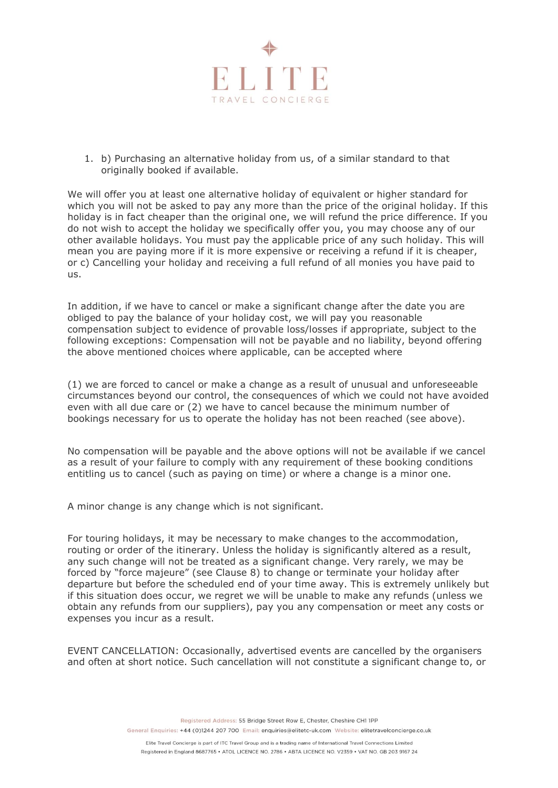

1. b) Purchasing an alternative holiday from us, of a similar standard to that originally booked if available.

We will offer you at least one alternative holiday of equivalent or higher standard for which you will not be asked to pay any more than the price of the original holiday. If this holiday is in fact cheaper than the original one, we will refund the price difference. If you do not wish to accept the holiday we specifically offer you, you may choose any of our other available holidays. You must pay the applicable price of any such holiday. This will mean you are paying more if it is more expensive or receiving a refund if it is cheaper, or c) Cancelling your holiday and receiving a full refund of all monies you have paid to us.

In addition, if we have to cancel or make a significant change after the date you are obliged to pay the balance of your holiday cost, we will pay you reasonable compensation subject to evidence of provable loss/losses if appropriate, subject to the following exceptions: Compensation will not be payable and no liability, beyond offering the above mentioned choices where applicable, can be accepted where

(1) we are forced to cancel or make a change as a result of unusual and unforeseeable circumstances beyond our control, the consequences of which we could not have avoided even with all due care or (2) we have to cancel because the minimum number of bookings necessary for us to operate the holiday has not been reached (see above).

No compensation will be payable and the above options will not be available if we cancel as a result of your failure to comply with any requirement of these booking conditions entitling us to cancel (such as paying on time) or where a change is a minor one.

A minor change is any change which is not significant.

For touring holidays, it may be necessary to make changes to the accommodation, routing or order of the itinerary. Unless the holiday is significantly altered as a result, any such change will not be treated as a significant change. Very rarely, we may be forced by "force majeure" (see Clause 8) to change or terminate your holiday after departure but before the scheduled end of your time away. This is extremely unlikely but if this situation does occur, we regret we will be unable to make any refunds (unless we obtain any refunds from our suppliers), pay you any compensation or meet any costs or expenses you incur as a result.

EVENT CANCELLATION: Occasionally, advertised events are cancelled by the organisers and often at short notice. Such cancellation will not constitute a significant change to, or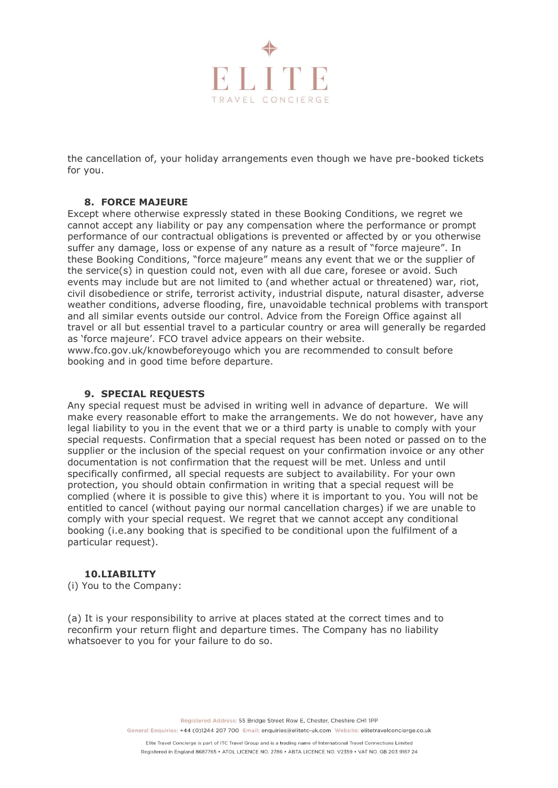

the cancellation of, your holiday arrangements even though we have pre-booked tickets for you.

# **8. FORCE MAJEURE**

Except where otherwise expressly stated in these Booking Conditions, we regret we cannot accept any liability or pay any compensation where the performance or prompt performance of our contractual obligations is prevented or affected by or you otherwise suffer any damage, loss or expense of any nature as a result of "force majeure". In these Booking Conditions, "force majeure" means any event that we or the supplier of the service(s) in question could not, even with all due care, foresee or avoid. Such events may include but are not limited to (and whether actual or threatened) war, riot, civil disobedience or strife, terrorist activity, industrial dispute, natural disaster, adverse weather conditions, adverse flooding, fire, unavoidable technical problems with transport and all similar events outside our control. Advice from the Foreign Office against all travel or all but essential travel to a particular country or area will generally be regarded as 'force majeure'. FCO travel advice appears on their website.

www.fco.gov.uk/knowbeforeyougo which you are recommended to consult before booking and in good time before departure.

# **9. SPECIAL REQUESTS**

Any special request must be advised in writing well in advance of departure. We will make every reasonable effort to make the arrangements. We do not however, have any legal liability to you in the event that we or a third party is unable to comply with your special requests. Confirmation that a special request has been noted or passed on to the supplier or the inclusion of the special request on your confirmation invoice or any other documentation is not confirmation that the request will be met. Unless and until specifically confirmed, all special requests are subject to availability. For your own protection, you should obtain confirmation in writing that a special request will be complied (where it is possible to give this) where it is important to you. You will not be entitled to cancel (without paying our normal cancellation charges) if we are unable to comply with your special request. We regret that we cannot accept any conditional booking (i.e.any booking that is specified to be conditional upon the fulfilment of a particular request).

# **10.LIABILITY**

(i) You to the Company:

(a) It is your responsibility to arrive at places stated at the correct times and to reconfirm your return flight and departure times. The Company has no liability whatsoever to you for your failure to do so.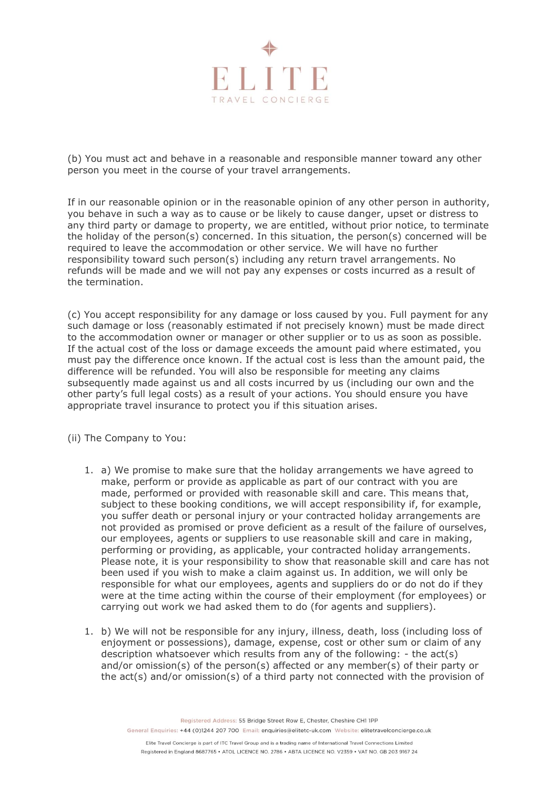

(b) You must act and behave in a reasonable and responsible manner toward any other person you meet in the course of your travel arrangements.

If in our reasonable opinion or in the reasonable opinion of any other person in authority, you behave in such a way as to cause or be likely to cause danger, upset or distress to any third party or damage to property, we are entitled, without prior notice, to terminate the holiday of the person(s) concerned. In this situation, the person(s) concerned will be required to leave the accommodation or other service. We will have no further responsibility toward such person(s) including any return travel arrangements. No refunds will be made and we will not pay any expenses or costs incurred as a result of the termination.

(c) You accept responsibility for any damage or loss caused by you. Full payment for any such damage or loss (reasonably estimated if not precisely known) must be made direct to the accommodation owner or manager or other supplier or to us as soon as possible. If the actual cost of the loss or damage exceeds the amount paid where estimated, you must pay the difference once known. If the actual cost is less than the amount paid, the difference will be refunded. You will also be responsible for meeting any claims subsequently made against us and all costs incurred by us (including our own and the other party's full legal costs) as a result of your actions. You should ensure you have appropriate travel insurance to protect you if this situation arises.

(ii) The Company to You:

- 1. a) We promise to make sure that the holiday arrangements we have agreed to make, perform or provide as applicable as part of our contract with you are made, performed or provided with reasonable skill and care. This means that, subject to these booking conditions, we will accept responsibility if, for example, you suffer death or personal injury or your contracted holiday arrangements are not provided as promised or prove deficient as a result of the failure of ourselves, our employees, agents or suppliers to use reasonable skill and care in making, performing or providing, as applicable, your contracted holiday arrangements. Please note, it is your responsibility to show that reasonable skill and care has not been used if you wish to make a claim against us. In addition, we will only be responsible for what our employees, agents and suppliers do or do not do if they were at the time acting within the course of their employment (for employees) or carrying out work we had asked them to do (for agents and suppliers).
- 1. b) We will not be responsible for any injury, illness, death, loss (including loss of enjoyment or possessions), damage, expense, cost or other sum or claim of any description whatsoever which results from any of the following: - the act(s) and/or omission(s) of the person(s) affected or any member(s) of their party or the  $act(s)$  and/or omission(s) of a third party not connected with the provision of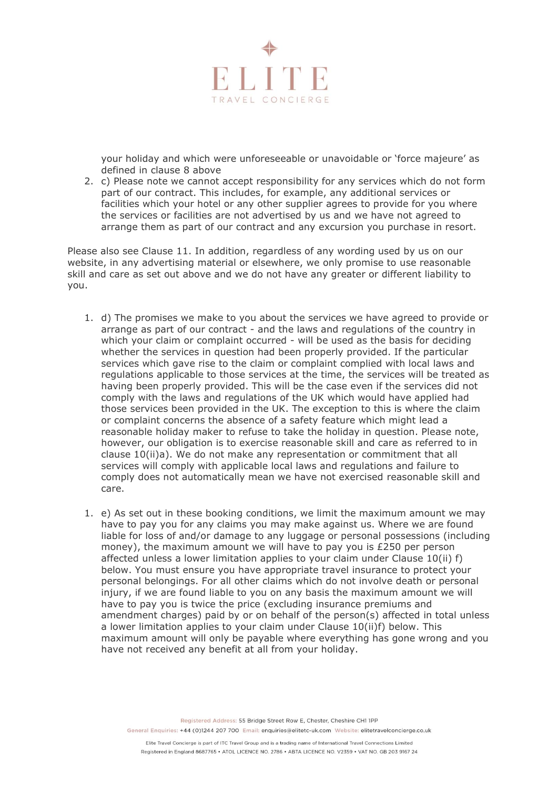

your holiday and which were unforeseeable or unavoidable or 'force majeure' as defined in clause 8 above

2. c) Please note we cannot accept responsibility for any services which do not form part of our contract. This includes, for example, any additional services or facilities which your hotel or any other supplier agrees to provide for you where the services or facilities are not advertised by us and we have not agreed to arrange them as part of our contract and any excursion you purchase in resort.

Please also see Clause 11. In addition, regardless of any wording used by us on our website, in any advertising material or elsewhere, we only promise to use reasonable skill and care as set out above and we do not have any greater or different liability to you.

- 1. d) The promises we make to you about the services we have agreed to provide or arrange as part of our contract - and the laws and regulations of the country in which your claim or complaint occurred - will be used as the basis for deciding whether the services in question had been properly provided. If the particular services which gave rise to the claim or complaint complied with local laws and regulations applicable to those services at the time, the services will be treated as having been properly provided. This will be the case even if the services did not comply with the laws and regulations of the UK which would have applied had those services been provided in the UK. The exception to this is where the claim or complaint concerns the absence of a safety feature which might lead a reasonable holiday maker to refuse to take the holiday in question. Please note, however, our obligation is to exercise reasonable skill and care as referred to in clause 10(ii)a). We do not make any representation or commitment that all services will comply with applicable local laws and regulations and failure to comply does not automatically mean we have not exercised reasonable skill and care.
- 1. e) As set out in these booking conditions, we limit the maximum amount we may have to pay you for any claims you may make against us. Where we are found liable for loss of and/or damage to any luggage or personal possessions (including money), the maximum amount we will have to pay you is £250 per person affected unless a lower limitation applies to your claim under Clause 10(ii) f) below. You must ensure you have appropriate travel insurance to protect your personal belongings. For all other claims which do not involve death or personal injury, if we are found liable to you on any basis the maximum amount we will have to pay you is twice the price (excluding insurance premiums and amendment charges) paid by or on behalf of the person(s) affected in total unless a lower limitation applies to your claim under Clause 10(ii)f) below. This maximum amount will only be payable where everything has gone wrong and you have not received any benefit at all from your holiday.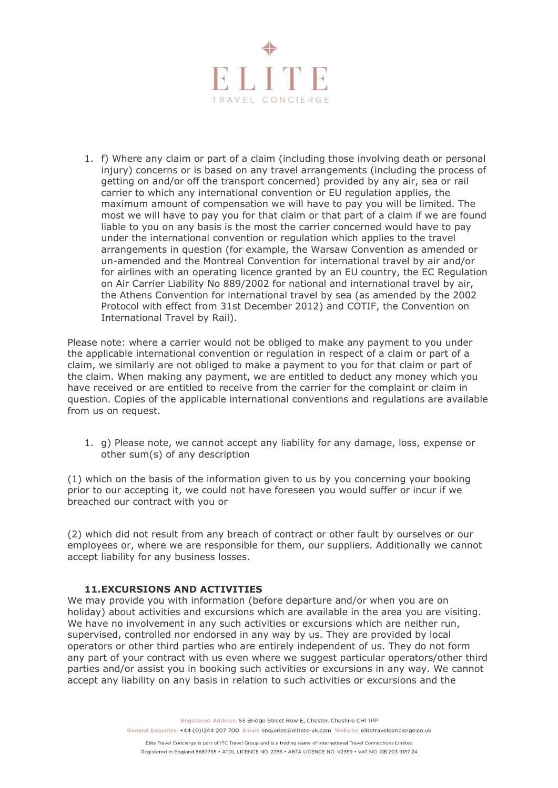

1. f) Where any claim or part of a claim (including those involving death or personal injury) concerns or is based on any travel arrangements (including the process of getting on and/or off the transport concerned) provided by any air, sea or rail carrier to which any international convention or EU regulation applies, the maximum amount of compensation we will have to pay you will be limited. The most we will have to pay you for that claim or that part of a claim if we are found liable to you on any basis is the most the carrier concerned would have to pay under the international convention or regulation which applies to the travel arrangements in question (for example, the Warsaw Convention as amended or un-amended and the Montreal Convention for international travel by air and/or for airlines with an operating licence granted by an EU country, the EC Regulation on Air Carrier Liability No 889/2002 for national and international travel by air, the Athens Convention for international travel by sea (as amended by the 2002 Protocol with effect from 31st December 2012) and COTIF, the Convention on International Travel by Rail).

Please note: where a carrier would not be obliged to make any payment to you under the applicable international convention or regulation in respect of a claim or part of a claim, we similarly are not obliged to make a payment to you for that claim or part of the claim. When making any payment, we are entitled to deduct any money which you have received or are entitled to receive from the carrier for the complaint or claim in question. Copies of the applicable international conventions and regulations are available from us on request.

1. g) Please note, we cannot accept any liability for any damage, loss, expense or other sum(s) of any description

(1) which on the basis of the information given to us by you concerning your booking prior to our accepting it, we could not have foreseen you would suffer or incur if we breached our contract with you or

(2) which did not result from any breach of contract or other fault by ourselves or our employees or, where we are responsible for them, our suppliers. Additionally we cannot accept liability for any business losses.

# **11.EXCURSIONS AND ACTIVITIES**

We may provide you with information (before departure and/or when you are on holiday) about activities and excursions which are available in the area you are visiting. We have no involvement in any such activities or excursions which are neither run, supervised, controlled nor endorsed in any way by us. They are provided by local operators or other third parties who are entirely independent of us. They do not form any part of your contract with us even where we suggest particular operators/other third parties and/or assist you in booking such activities or excursions in any way. We cannot accept any liability on any basis in relation to such activities or excursions and the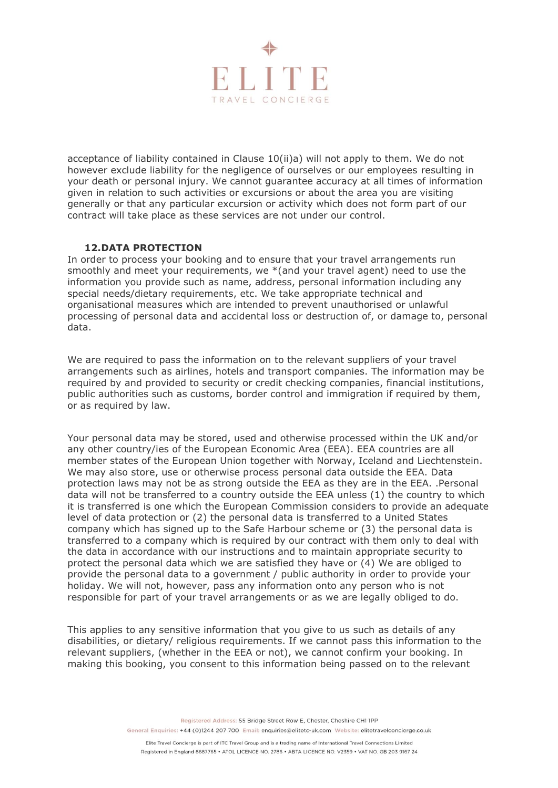

acceptance of liability contained in Clause 10(ii)a) will not apply to them. We do not however exclude liability for the negligence of ourselves or our employees resulting in your death or personal injury. We cannot guarantee accuracy at all times of information given in relation to such activities or excursions or about the area you are visiting generally or that any particular excursion or activity which does not form part of our contract will take place as these services are not under our control.

# **12.DATA PROTECTION**

In order to process your booking and to ensure that your travel arrangements run smoothly and meet your requirements, we \*(and your travel agent) need to use the information you provide such as name, address, personal information including any special needs/dietary requirements, etc. We take appropriate technical and organisational measures which are intended to prevent unauthorised or unlawful processing of personal data and accidental loss or destruction of, or damage to, personal data.

We are required to pass the information on to the relevant suppliers of your travel arrangements such as airlines, hotels and transport companies. The information may be required by and provided to security or credit checking companies, financial institutions, public authorities such as customs, border control and immigration if required by them, or as required by law.

Your personal data may be stored, used and otherwise processed within the UK and/or any other country/ies of the European Economic Area (EEA). EEA countries are all member states of the European Union together with Norway, Iceland and Liechtenstein. We may also store, use or otherwise process personal data outside the EEA. Data protection laws may not be as strong outside the EEA as they are in the EEA. .Personal data will not be transferred to a country outside the EEA unless (1) the country to which it is transferred is one which the European Commission considers to provide an adequate level of data protection or (2) the personal data is transferred to a United States company which has signed up to the Safe Harbour scheme or (3) the personal data is transferred to a company which is required by our contract with them only to deal with the data in accordance with our instructions and to maintain appropriate security to protect the personal data which we are satisfied they have or (4) We are obliged to provide the personal data to a government / public authority in order to provide your holiday. We will not, however, pass any information onto any person who is not responsible for part of your travel arrangements or as we are legally obliged to do.

This applies to any sensitive information that you give to us such as details of any disabilities, or dietary/ religious requirements. If we cannot pass this information to the relevant suppliers, (whether in the EEA or not), we cannot confirm your booking. In making this booking, you consent to this information being passed on to the relevant

> Registered Address: 55 Bridge Street Row E, Chester, Cheshire CH1 1PP General Enquiries: +44 (0)1244 207 700 Email: enquiries@elitetc-uk.com Website: elitetravelconcierge.co.uk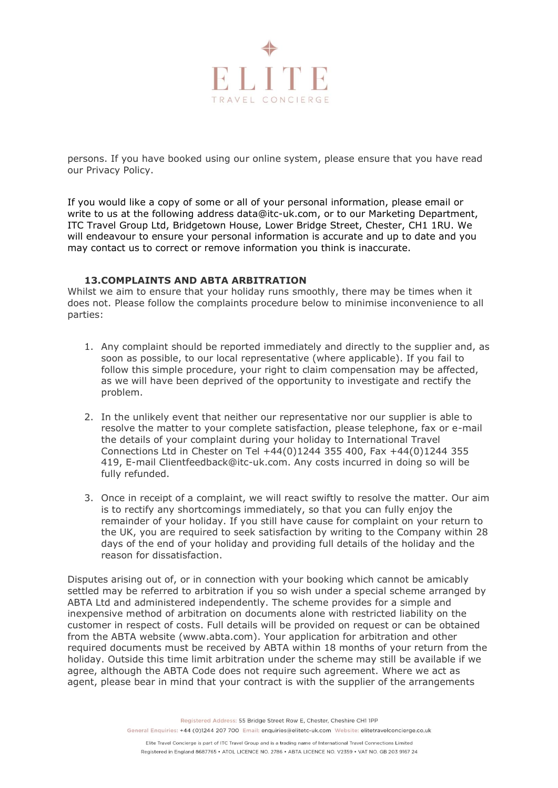

persons. If you have booked using our online system, please ensure that you have read our Privacy Policy.

If you would like a copy of some or all of your personal information, please email or write to us at the following address data@itc-uk.com, or to our Marketing Department, ITC Travel Group Ltd, Bridgetown House, Lower Bridge Street, Chester, CH1 1RU. We will endeavour to ensure your personal information is accurate and up to date and you may contact us to correct or remove information you think is inaccurate.

#### **13.COMPLAINTS AND ABTA ARBITRATION**

Whilst we aim to ensure that your holiday runs smoothly, there may be times when it does not. Please follow the complaints procedure below to minimise inconvenience to all parties:

- 1. Any complaint should be reported immediately and directly to the supplier and, as soon as possible, to our local representative (where applicable). If you fail to follow this simple procedure, your right to claim compensation may be affected, as we will have been deprived of the opportunity to investigate and rectify the problem.
- 2. In the unlikely event that neither our representative nor our supplier is able to resolve the matter to your complete satisfaction, please telephone, fax or e-mail the details of your complaint during your holiday to International Travel Connections Ltd in Chester on Tel +44(0)1244 355 400, Fax +44(0)1244 355 419, E-mail Clientfeedback@itc-uk.com. Any costs incurred in doing so will be fully refunded.
- 3. Once in receipt of a complaint, we will react swiftly to resolve the matter. Our aim is to rectify any shortcomings immediately, so that you can fully enjoy the remainder of your holiday. If you still have cause for complaint on your return to the UK, you are required to seek satisfaction by writing to the Company within 28 days of the end of your holiday and providing full details of the holiday and the reason for dissatisfaction.

Disputes arising out of, or in connection with your booking which cannot be amicably settled may be referred to arbitration if you so wish under a special scheme arranged by ABTA Ltd and administered independently. The scheme provides for a simple and inexpensive method of arbitration on documents alone with restricted liability on the customer in respect of costs. Full details will be provided on request or can be obtained from the ABTA website (www.abta.com). Your application for arbitration and other required documents must be received by ABTA within 18 months of your return from the holiday. Outside this time limit arbitration under the scheme may still be available if we agree, although the ABTA Code does not require such agreement. Where we act as agent, please bear in mind that your contract is with the supplier of the arrangements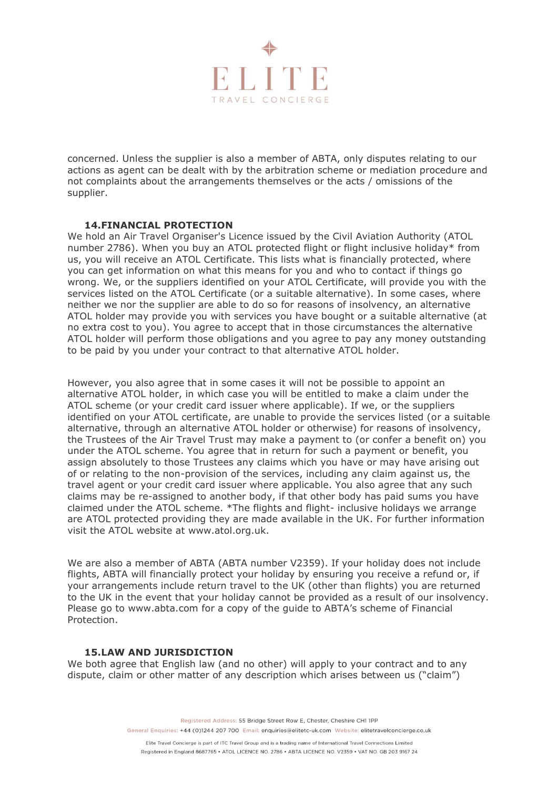

concerned. Unless the supplier is also a member of ABTA, only disputes relating to our actions as agent can be dealt with by the arbitration scheme or mediation procedure and not complaints about the arrangements themselves or the acts / omissions of the supplier.

#### **14.FINANCIAL PROTECTION**

We hold an Air Travel Organiser's Licence issued by the Civil Aviation Authority (ATOL number 2786). When you buy an ATOL protected flight or flight inclusive holiday\* from us, you will receive an ATOL Certificate. This lists what is financially protected, where you can get information on what this means for you and who to contact if things go wrong. We, or the suppliers identified on your ATOL Certificate, will provide you with the services listed on the ATOL Certificate (or a suitable alternative). In some cases, where neither we nor the supplier are able to do so for reasons of insolvency, an alternative ATOL holder may provide you with services you have bought or a suitable alternative (at no extra cost to you). You agree to accept that in those circumstances the alternative ATOL holder will perform those obligations and you agree to pay any money outstanding to be paid by you under your contract to that alternative ATOL holder.

However, you also agree that in some cases it will not be possible to appoint an alternative ATOL holder, in which case you will be entitled to make a claim under the ATOL scheme (or your credit card issuer where applicable). If we, or the suppliers identified on your ATOL certificate, are unable to provide the services listed (or a suitable alternative, through an alternative ATOL holder or otherwise) for reasons of insolvency, the Trustees of the Air Travel Trust may make a payment to (or confer a benefit on) you under the ATOL scheme. You agree that in return for such a payment or benefit, you assign absolutely to those Trustees any claims which you have or may have arising out of or relating to the non-provision of the services, including any claim against us, the travel agent or your credit card issuer where applicable. You also agree that any such claims may be re-assigned to another body, if that other body has paid sums you have claimed under the ATOL scheme. \*The flights and flight- inclusive holidays we arrange are ATOL protected providing they are made available in the UK. For further information visit the ATOL website at www.atol.org.uk.

We are also a member of ABTA (ABTA number V2359). If your holiday does not include flights, ABTA will financially protect your holiday by ensuring you receive a refund or, if your arrangements include return travel to the UK (other than flights) you are returned to the UK in the event that your holiday cannot be provided as a result of our insolvency. Please go to www.abta.com for a copy of the guide to ABTA's scheme of Financial Protection.

# **15.LAW AND JURISDICTION**

We both agree that English law (and no other) will apply to your contract and to any dispute, claim or other matter of any description which arises between us ("claim")

> Registered Address: 55 Bridge Street Row E, Chester, Cheshire CH1 1PP General Enquiries: +44 (0)1244 207 700 Email: enquiries@elitetc-uk.com Website: elitetravelconcierge.co.uk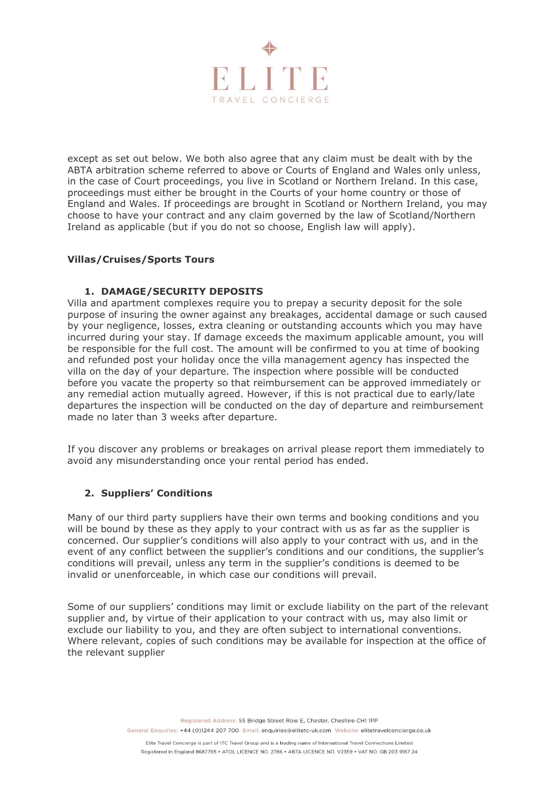

except as set out below. We both also agree that any claim must be dealt with by the ABTA arbitration scheme referred to above or Courts of England and Wales only unless, in the case of Court proceedings, you live in Scotland or Northern Ireland. In this case, proceedings must either be brought in the Courts of your home country or those of England and Wales. If proceedings are brought in Scotland or Northern Ireland, you may choose to have your contract and any claim governed by the law of Scotland/Northern Ireland as applicable (but if you do not so choose, English law will apply).

# **Villas/Cruises/Sports Tours**

# **1. DAMAGE/SECURITY DEPOSITS**

Villa and apartment complexes require you to prepay a security deposit for the sole purpose of insuring the owner against any breakages, accidental damage or such caused by your negligence, losses, extra cleaning or outstanding accounts which you may have incurred during your stay. If damage exceeds the maximum applicable amount, you will be responsible for the full cost. The amount will be confirmed to you at time of booking and refunded post your holiday once the villa management agency has inspected the villa on the day of your departure. The inspection where possible will be conducted before you vacate the property so that reimbursement can be approved immediately or any remedial action mutually agreed. However, if this is not practical due to early/late departures the inspection will be conducted on the day of departure and reimbursement made no later than 3 weeks after departure.

If you discover any problems or breakages on arrival please report them immediately to avoid any misunderstanding once your rental period has ended.

# **2. Suppliers' Conditions**

Many of our third party suppliers have their own terms and booking conditions and you will be bound by these as they apply to your contract with us as far as the supplier is concerned. Our supplier's conditions will also apply to your contract with us, and in the event of any conflict between the supplier's conditions and our conditions, the supplier's conditions will prevail, unless any term in the supplier's conditions is deemed to be invalid or unenforceable, in which case our conditions will prevail.

Some of our suppliers' conditions may limit or exclude liability on the part of the relevant supplier and, by virtue of their application to your contract with us, may also limit or exclude our liability to you, and they are often subject to international conventions. Where relevant, copies of such conditions may be available for inspection at the office of the relevant supplier

> Registered Address: 55 Bridge Street Row E, Chester, Cheshire CH1 1PP General Enquiries: +44 (0)1244 207 700 Email: enquiries@elitetc-uk.com Website: elitetravelconcierge.co.uk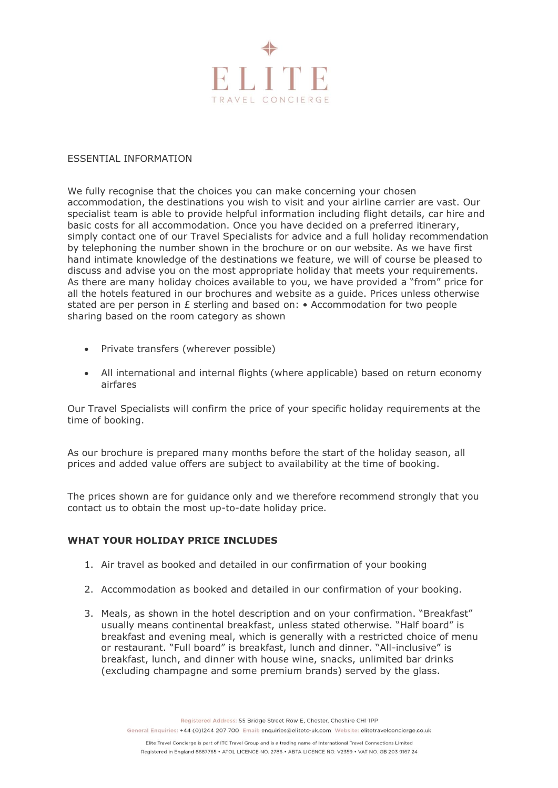

### ESSENTIAL INFORMATION

We fully recognise that the choices you can make concerning your chosen accommodation, the destinations you wish to visit and your airline carrier are vast. Our specialist team is able to provide helpful information including flight details, car hire and basic costs for all accommodation. Once you have decided on a preferred itinerary, simply contact one of our Travel Specialists for advice and a full holiday recommendation by telephoning the number shown in the brochure or on our website. As we have first hand intimate knowledge of the destinations we feature, we will of course be pleased to discuss and advise you on the most appropriate holiday that meets your requirements. As there are many holiday choices available to you, we have provided a "from" price for all the hotels featured in our brochures and website as a guide. Prices unless otherwise stated are per person in  $f$  sterling and based on:  $\bullet$  Accommodation for two people sharing based on the room category as shown

- Private transfers (wherever possible)
- All international and internal flights (where applicable) based on return economy airfares

Our Travel Specialists will confirm the price of your specific holiday requirements at the time of booking.

As our brochure is prepared many months before the start of the holiday season, all prices and added value offers are subject to availability at the time of booking.

The prices shown are for guidance only and we therefore recommend strongly that you contact us to obtain the most up-to-date holiday price.

# **WHAT YOUR HOLIDAY PRICE INCLUDES**

- 1. Air travel as booked and detailed in our confirmation of your booking
- 2. Accommodation as booked and detailed in our confirmation of your booking.
- 3. Meals, as shown in the hotel description and on your confirmation. "Breakfast" usually means continental breakfast, unless stated otherwise. "Half board" is breakfast and evening meal, which is generally with a restricted choice of menu or restaurant. "Full board" is breakfast, lunch and dinner. "All-inclusive" is breakfast, lunch, and dinner with house wine, snacks, unlimited bar drinks (excluding champagne and some premium brands) served by the glass.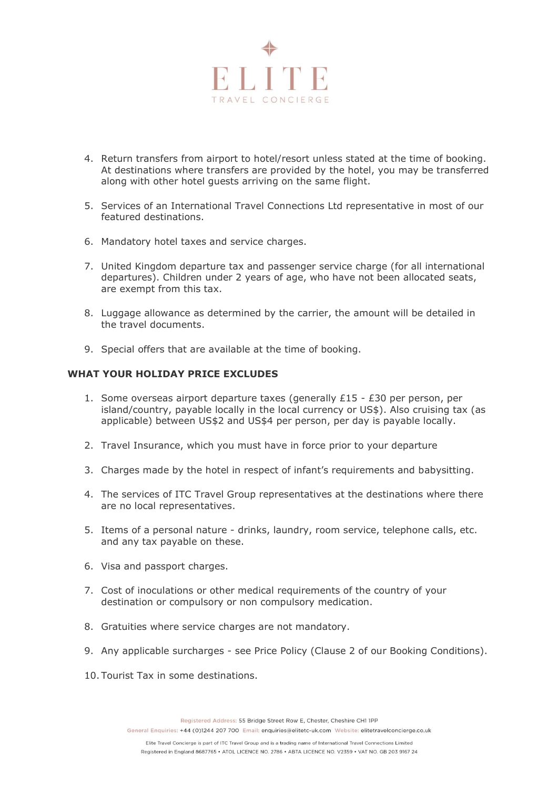

- 4. Return transfers from airport to hotel/resort unless stated at the time of booking. At destinations where transfers are provided by the hotel, you may be transferred along with other hotel guests arriving on the same flight.
- 5. Services of an International Travel Connections Ltd representative in most of our featured destinations.
- 6. Mandatory hotel taxes and service charges.
- 7. United Kingdom departure tax and passenger service charge (for all international departures). Children under 2 years of age, who have not been allocated seats, are exempt from this tax.
- 8. Luggage allowance as determined by the carrier, the amount will be detailed in the travel documents.
- 9. Special offers that are available at the time of booking.

# **WHAT YOUR HOLIDAY PRICE EXCLUDES**

- 1. Some overseas airport departure taxes (generally £15 £30 per person, per island/country, payable locally in the local currency or US\$). Also cruising tax (as applicable) between US\$2 and US\$4 per person, per day is payable locally.
- 2. Travel Insurance, which you must have in force prior to your departure
- 3. Charges made by the hotel in respect of infant's requirements and babysitting.
- 4. The services of ITC Travel Group representatives at the destinations where there are no local representatives.
- 5. Items of a personal nature drinks, laundry, room service, telephone calls, etc. and any tax payable on these.
- 6. Visa and passport charges.
- 7. Cost of inoculations or other medical requirements of the country of your destination or compulsory or non compulsory medication.
- 8. Gratuities where service charges are not mandatory.
- 9. Any applicable surcharges see Price Policy (Clause 2 of our Booking Conditions).
- 10. Tourist Tax in some destinations.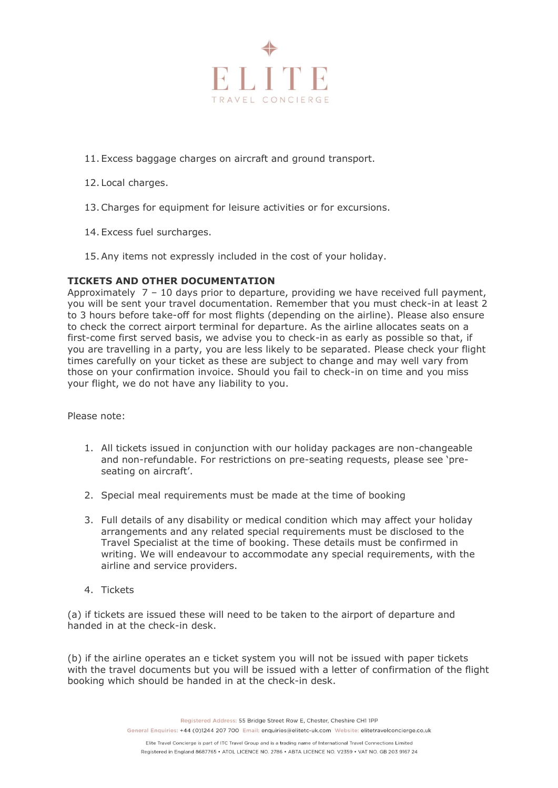

- 11. Excess baggage charges on aircraft and ground transport.
- 12. Local charges.
- 13.Charges for equipment for leisure activities or for excursions.
- 14. Excess fuel surcharges.
- 15.Any items not expressly included in the cost of your holiday.

# **TICKETS AND OTHER DOCUMENTATION**

Approximately  $7 - 10$  days prior to departure, providing we have received full payment, you will be sent your travel documentation. Remember that you must check-in at least 2 to 3 hours before take-off for most flights (depending on the airline). Please also ensure to check the correct airport terminal for departure. As the airline allocates seats on a first-come first served basis, we advise you to check-in as early as possible so that, if you are travelling in a party, you are less likely to be separated. Please check your flight times carefully on your ticket as these are subject to change and may well vary from those on your confirmation invoice. Should you fail to check-in on time and you miss your flight, we do not have any liability to you.

Please note:

- 1. All tickets issued in conjunction with our holiday packages are non-changeable and non-refundable. For restrictions on pre-seating requests, please see 'preseating on aircraft'.
- 2. Special meal requirements must be made at the time of booking
- 3. Full details of any disability or medical condition which may affect your holiday arrangements and any related special requirements must be disclosed to the Travel Specialist at the time of booking. These details must be confirmed in writing. We will endeavour to accommodate any special requirements, with the airline and service providers.
- 4. Tickets

(a) if tickets are issued these will need to be taken to the airport of departure and handed in at the check-in desk.

(b) if the airline operates an e ticket system you will not be issued with paper tickets with the travel documents but you will be issued with a letter of confirmation of the flight booking which should be handed in at the check-in desk.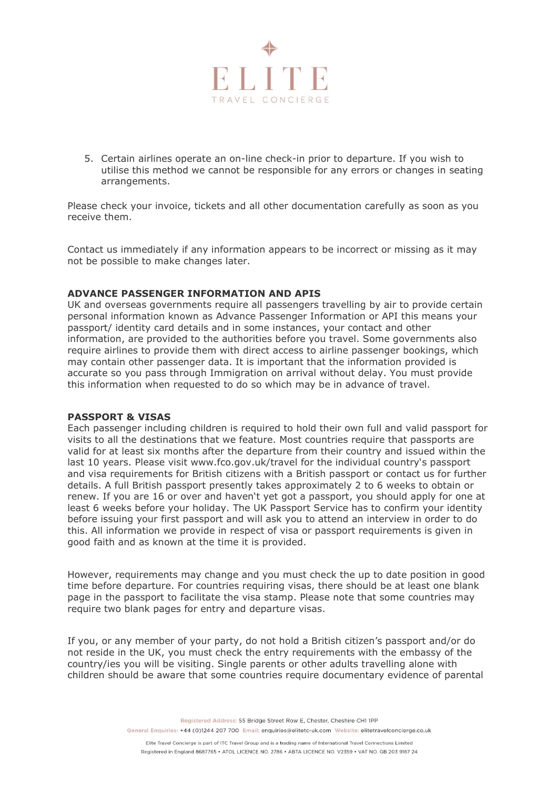

5. Certain airlines operate an on-line check-in prior to departure. If you wish to utilise this method we cannot be responsible for any errors or changes in seating arrangements.

Please check your invoice, tickets and all other documentation carefully as soon as you receive them.

Contact us immediately if any information appears to be incorrect or missing as it may not be possible to make changes later.

#### **ADVANCE PASSENGER INFORMATION AND APIS**

UK and overseas governments require all passengers travelling by air to provide certain personal information known as Advance Passenger Information or API this means your passport/ identity card details and in some instances, your contact and other information, are provided to the authorities before you travel. Some governments also require airlines to provide them with direct access to airline passenger bookings, which may contain other passenger data. It is important that the information provided is accurate so you pass through Immigration on arrival without delay. You must provide this information when requested to do so which may be in advance of travel.

#### **PASSPORT & VISAS**

Each passenger including children is required to hold their own full and valid passport for visits to all the destinations that we feature. Most countries require that passports are valid for at least six months after the departure from their country and issued within the last 10 years. Please visit www.fco.gov.uk/travel for the individual country's passport and visa requirements for British citizens with a British passport or contact us for further details. A full British passport presently takes approximately 2 to 6 weeks to obtain or renew. If you are 16 or over and haven't yet got a passport, you should apply for one at least 6 weeks before your holiday. The UK Passport Service has to confirm your identity before issuing your first passport and will ask you to attend an interview in order to do this. All information we provide in respect of visa or passport requirements is given in good faith and as known at the time it is provided.

However, requirements may change and you must check the up to date position in good time before departure. For countries requiring visas, there should be at least one blank page in the passport to facilitate the visa stamp. Please note that some countries may require two blank pages for entry and departure visas.

If you, or any member of your party, do not hold a British citizen's passport and/or do not reside in the UK, you must check the entry requirements with the embassy of the country/ies you will be visiting. Single parents or other adults travelling alone with children should be aware that some countries require documentary evidence of parental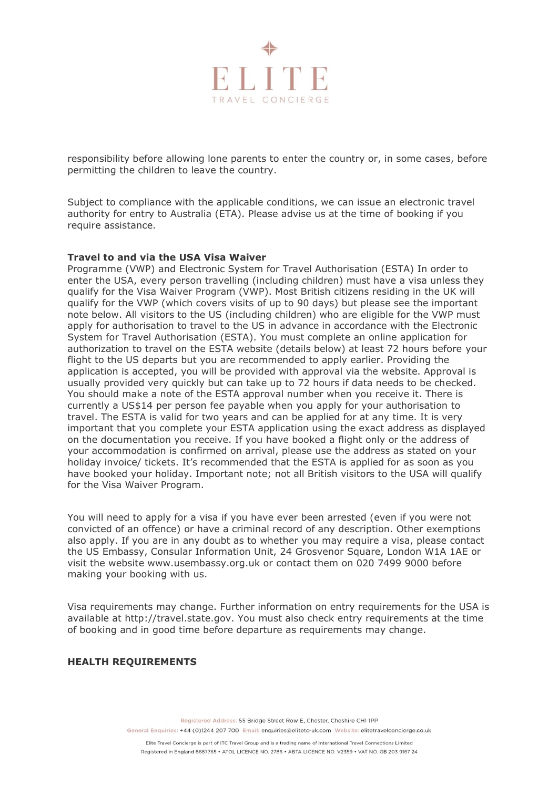

responsibility before allowing lone parents to enter the country or, in some cases, before permitting the children to leave the country.

Subject to compliance with the applicable conditions, we can issue an electronic travel authority for entry to Australia (ETA). Please advise us at the time of booking if you require assistance.

#### **Travel to and via the USA Visa Waiver**

Programme (VWP) and Electronic System for Travel Authorisation (ESTA) In order to enter the USA, every person travelling (including children) must have a visa unless they qualify for the Visa Waiver Program (VWP). Most British citizens residing in the UK will qualify for the VWP (which covers visits of up to 90 days) but please see the important note below. All visitors to the US (including children) who are eligible for the VWP must apply for authorisation to travel to the US in advance in accordance with the Electronic System for Travel Authorisation (ESTA). You must complete an online application for authorization to travel on the ESTA website (details below) at least 72 hours before your flight to the US departs but you are recommended to apply earlier. Providing the application is accepted, you will be provided with approval via the website. Approval is usually provided very quickly but can take up to 72 hours if data needs to be checked. You should make a note of the ESTA approval number when you receive it. There is currently a US\$14 per person fee payable when you apply for your authorisation to travel. The ESTA is valid for two years and can be applied for at any time. It is very important that you complete your ESTA application using the exact address as displayed on the documentation you receive. If you have booked a flight only or the address of your accommodation is confirmed on arrival, please use the address as stated on your holiday invoice/ tickets. It's recommended that the ESTA is applied for as soon as you have booked your holiday. Important note; not all British visitors to the USA will qualify for the Visa Waiver Program.

You will need to apply for a visa if you have ever been arrested (even if you were not convicted of an offence) or have a criminal record of any description. Other exemptions also apply. If you are in any doubt as to whether you may require a visa, please contact the US Embassy, Consular Information Unit, 24 Grosvenor Square, London W1A 1AE or visit the website www.usembassy.org.uk or contact them on 020 7499 9000 before making your booking with us.

Visa requirements may change. Further information on entry requirements for the USA is available at http://travel.state.gov. You must also check entry requirements at the time of booking and in good time before departure as requirements may change.

#### **HEALTH REQUIREMENTS**

Registered Address: 55 Bridge Street Row E, Chester, Cheshire CH1 1PP General Enquiries: +44 (0)1244 207 700 Email: enquiries@elitetc-uk.com Website: elitetravelconcierge.co.uk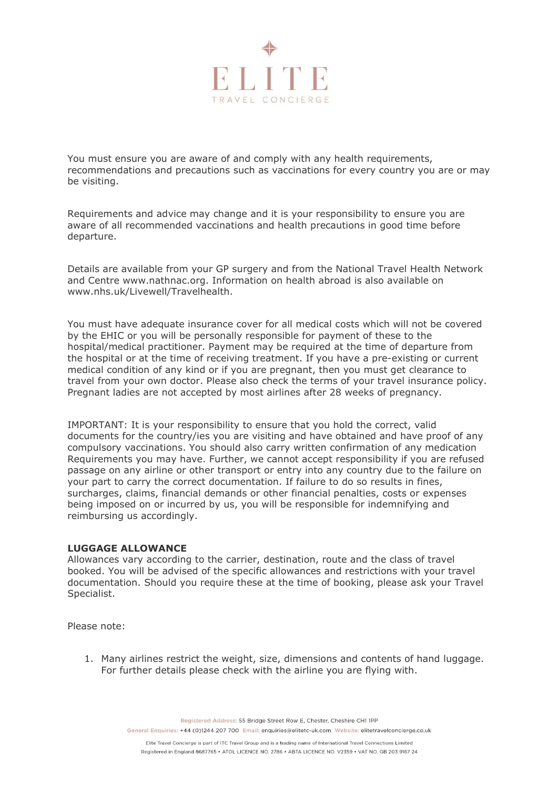

You must ensure you are aware of and comply with any health requirements, recommendations and precautions such as vaccinations for every country you are or may be visiting.

Requirements and advice may change and it is your responsibility to ensure you are aware of all recommended vaccinations and health precautions in good time before departure.

Details are available from your GP surgery and from the National Travel Health Network and Centre www.nathnac.org. Information on health abroad is also available on www.nhs.uk/Livewell/Travelhealth.

You must have adequate insurance cover for all medical costs which will not be covered by the EHIC or you will be personally responsible for payment of these to the hospital/medical practitioner. Payment may be required at the time of departure from the hospital or at the time of receiving treatment. If you have a pre-existing or current medical condition of any kind or if you are pregnant, then you must get clearance to travel from your own doctor. Please also check the terms of your travel insurance policy. Pregnant ladies are not accepted by most airlines after 28 weeks of pregnancy.

IMPORTANT: It is your responsibility to ensure that you hold the correct, valid documents for the country/ies you are visiting and have obtained and have proof of any compulsory vaccinations. You should also carry written confirmation of any medication Requirements you may have. Further, we cannot accept responsibility if you are refused passage on any airline or other transport or entry into any country due to the failure on your part to carry the correct documentation. If failure to do so results in fines, surcharges, claims, financial demands or other financial penalties, costs or expenses being imposed on or incurred by us, you will be responsible for indemnifying and reimbursing us accordingly.

#### **LUGGAGE ALLOWANCE**

Allowances vary according to the carrier, destination, route and the class of travel booked. You will be advised of the specific allowances and restrictions with your travel documentation. Should you require these at the time of booking, please ask your Travel Specialist.

Please note:

1. Many airlines restrict the weight, size, dimensions and contents of hand luggage. For further details please check with the airline you are flying with.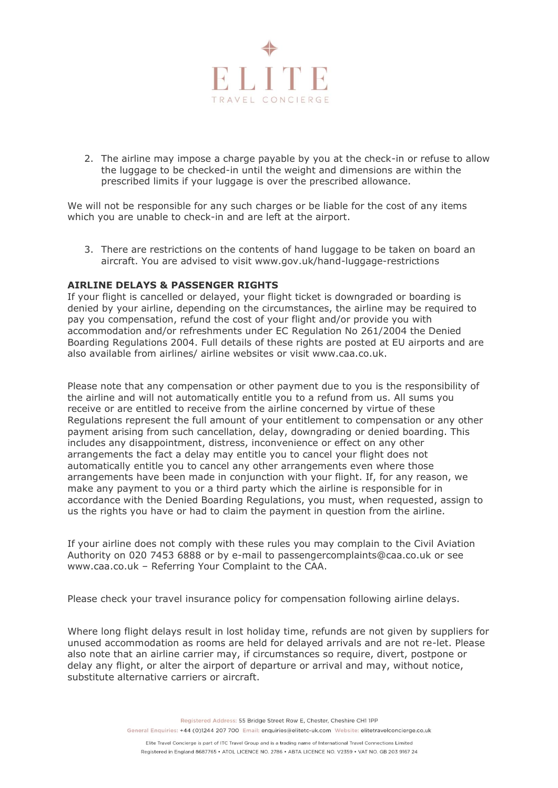

2. The airline may impose a charge payable by you at the check-in or refuse to allow the luggage to be checked-in until the weight and dimensions are within the prescribed limits if your luggage is over the prescribed allowance.

We will not be responsible for any such charges or be liable for the cost of any items which you are unable to check-in and are left at the airport.

3. There are restrictions on the contents of hand luggage to be taken on board an aircraft. You are advised to visit www.gov.uk/hand-luggage-restrictions

#### **AIRLINE DELAYS & PASSENGER RIGHTS**

If your flight is cancelled or delayed, your flight ticket is downgraded or boarding is denied by your airline, depending on the circumstances, the airline may be required to pay you compensation, refund the cost of your flight and/or provide you with accommodation and/or refreshments under EC Regulation No 261/2004 the Denied Boarding Regulations 2004. Full details of these rights are posted at EU airports and are also available from airlines/ airline websites or visit www.caa.co.uk.

Please note that any compensation or other payment due to you is the responsibility of the airline and will not automatically entitle you to a refund from us. All sums you receive or are entitled to receive from the airline concerned by virtue of these Regulations represent the full amount of your entitlement to compensation or any other payment arising from such cancellation, delay, downgrading or denied boarding. This includes any disappointment, distress, inconvenience or effect on any other arrangements the fact a delay may entitle you to cancel your flight does not automatically entitle you to cancel any other arrangements even where those arrangements have been made in conjunction with your flight. If, for any reason, we make any payment to you or a third party which the airline is responsible for in accordance with the Denied Boarding Regulations, you must, when requested, assign to us the rights you have or had to claim the payment in question from the airline.

If your airline does not comply with these rules you may complain to the Civil Aviation Authority on 020 7453 6888 or by e-mail to passengercomplaints@caa.co.uk or see www.caa.co.uk – Referring Your Complaint to the CAA.

Please check your travel insurance policy for compensation following airline delays.

Where long flight delays result in lost holiday time, refunds are not given by suppliers for unused accommodation as rooms are held for delayed arrivals and are not re-let. Please also note that an airline carrier may, if circumstances so require, divert, postpone or delay any flight, or alter the airport of departure or arrival and may, without notice, substitute alternative carriers or aircraft.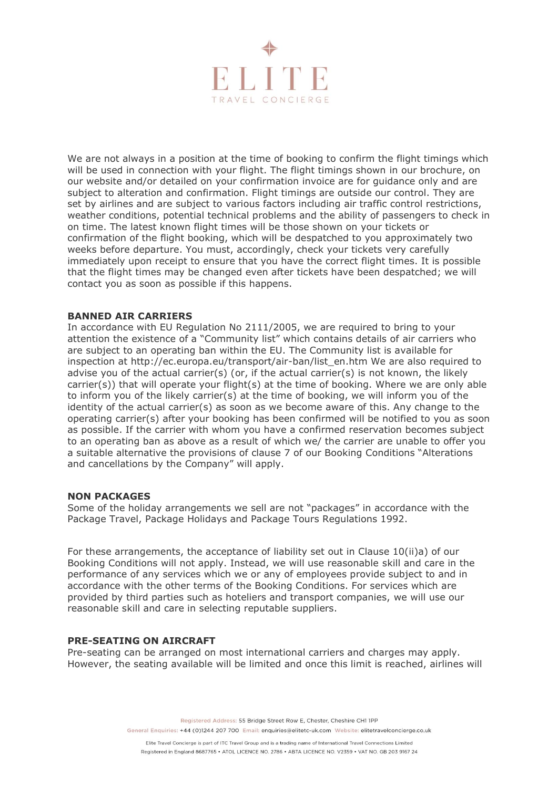

We are not always in a position at the time of booking to confirm the flight timings which will be used in connection with your flight. The flight timings shown in our brochure, on our website and/or detailed on your confirmation invoice are for guidance only and are subject to alteration and confirmation. Flight timings are outside our control. They are set by airlines and are subject to various factors including air traffic control restrictions, weather conditions, potential technical problems and the ability of passengers to check in on time. The latest known flight times will be those shown on your tickets or confirmation of the flight booking, which will be despatched to you approximately two weeks before departure. You must, accordingly, check your tickets very carefully immediately upon receipt to ensure that you have the correct flight times. It is possible that the flight times may be changed even after tickets have been despatched; we will contact you as soon as possible if this happens.

#### **BANNED AIR CARRIERS**

In accordance with EU Regulation No 2111/2005, we are required to bring to your attention the existence of a "Community list" which contains details of air carriers who are subject to an operating ban within the EU. The Community list is available for inspection at http://ec.europa.eu/transport/air-ban/list\_en.htm We are also required to advise you of the actual carrier(s) (or, if the actual carrier(s) is not known, the likely carrier(s)) that will operate your flight(s) at the time of booking. Where we are only able to inform you of the likely carrier(s) at the time of booking, we will inform you of the identity of the actual carrier(s) as soon as we become aware of this. Any change to the operating carrier(s) after your booking has been confirmed will be notified to you as soon as possible. If the carrier with whom you have a confirmed reservation becomes subject to an operating ban as above as a result of which we/ the carrier are unable to offer you a suitable alternative the provisions of clause 7 of our Booking Conditions "Alterations and cancellations by the Company" will apply.

#### **NON PACKAGES**

Some of the holiday arrangements we sell are not "packages" in accordance with the Package Travel, Package Holidays and Package Tours Regulations 1992.

For these arrangements, the acceptance of liability set out in Clause 10(ii)a) of our Booking Conditions will not apply. Instead, we will use reasonable skill and care in the performance of any services which we or any of employees provide subject to and in accordance with the other terms of the Booking Conditions. For services which are provided by third parties such as hoteliers and transport companies, we will use our reasonable skill and care in selecting reputable suppliers.

# **PRE-SEATING ON AIRCRAFT**

Pre-seating can be arranged on most international carriers and charges may apply. However, the seating available will be limited and once this limit is reached, airlines will

> Registered Address: 55 Bridge Street Row E, Chester, Cheshire CH1 1PP General Enquiries: +44 (0)1244 207 700 Email: enquiries@elitetc-uk.com Website: elitetravelconcierge.co.uk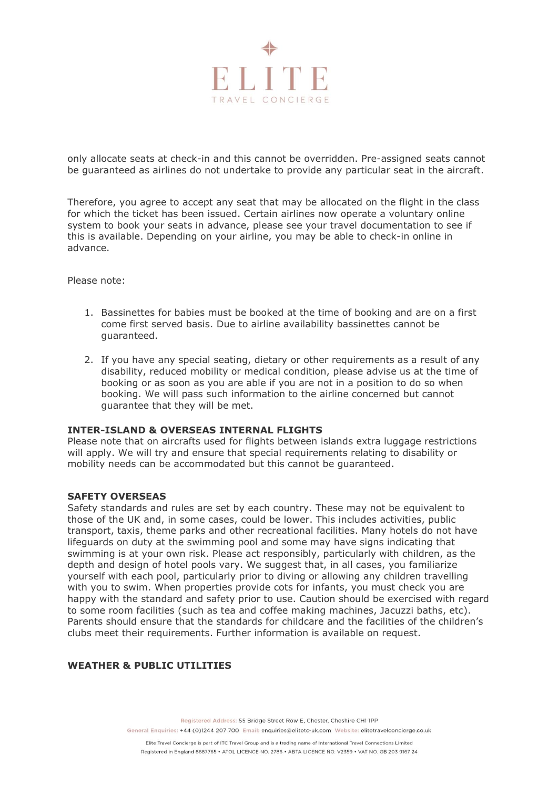

only allocate seats at check-in and this cannot be overridden. Pre-assigned seats cannot be guaranteed as airlines do not undertake to provide any particular seat in the aircraft.

Therefore, you agree to accept any seat that may be allocated on the flight in the class for which the ticket has been issued. Certain airlines now operate a voluntary online system to book your seats in advance, please see your travel documentation to see if this is available. Depending on your airline, you may be able to check-in online in advance.

Please note:

- 1. Bassinettes for babies must be booked at the time of booking and are on a first come first served basis. Due to airline availability bassinettes cannot be guaranteed.
- 2. If you have any special seating, dietary or other requirements as a result of any disability, reduced mobility or medical condition, please advise us at the time of booking or as soon as you are able if you are not in a position to do so when booking. We will pass such information to the airline concerned but cannot guarantee that they will be met.

#### **INTER-ISLAND & OVERSEAS INTERNAL FLIGHTS**

Please note that on aircrafts used for flights between islands extra luggage restrictions will apply. We will try and ensure that special requirements relating to disability or mobility needs can be accommodated but this cannot be guaranteed.

# **SAFETY OVERSEAS**

Safety standards and rules are set by each country. These may not be equivalent to those of the UK and, in some cases, could be lower. This includes activities, public transport, taxis, theme parks and other recreational facilities. Many hotels do not have lifeguards on duty at the swimming pool and some may have signs indicating that swimming is at your own risk. Please act responsibly, particularly with children, as the depth and design of hotel pools vary. We suggest that, in all cases, you familiarize yourself with each pool, particularly prior to diving or allowing any children travelling with you to swim. When properties provide cots for infants, you must check you are happy with the standard and safety prior to use. Caution should be exercised with regard to some room facilities (such as tea and coffee making machines, Jacuzzi baths, etc). Parents should ensure that the standards for childcare and the facilities of the children's clubs meet their requirements. Further information is available on request.

# **WEATHER & PUBLIC UTILITIES**

Registered Address: 55 Bridge Street Row E, Chester, Cheshire CH1 1PP General Enquiries: +44 (0)1244 207 700 Email: enquiries@elitetc-uk.com Website: elitetravelconcierge.co.uk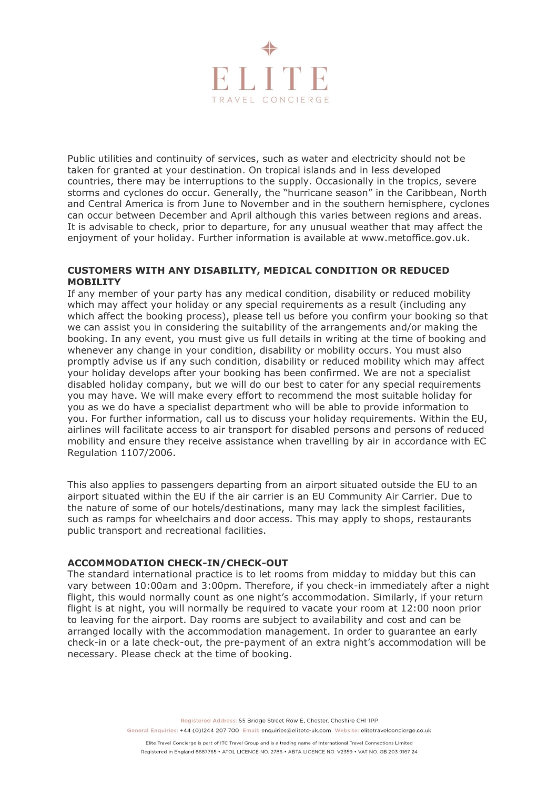

Public utilities and continuity of services, such as water and electricity should not be taken for granted at your destination. On tropical islands and in less developed countries, there may be interruptions to the supply. Occasionally in the tropics, severe storms and cyclones do occur. Generally, the "hurricane season" in the Caribbean, North and Central America is from June to November and in the southern hemisphere, cyclones can occur between December and April although this varies between regions and areas. It is advisable to check, prior to departure, for any unusual weather that may affect the enjoyment of your holiday. Further information is available at www.metoffice.gov.uk.

# **CUSTOMERS WITH ANY DISABILITY, MEDICAL CONDITION OR REDUCED MOBILITY**

If any member of your party has any medical condition, disability or reduced mobility which may affect your holiday or any special requirements as a result (including any which affect the booking process), please tell us before you confirm your booking so that we can assist you in considering the suitability of the arrangements and/or making the booking. In any event, you must give us full details in writing at the time of booking and whenever any change in your condition, disability or mobility occurs. You must also promptly advise us if any such condition, disability or reduced mobility which may affect your holiday develops after your booking has been confirmed. We are not a specialist disabled holiday company, but we will do our best to cater for any special requirements you may have. We will make every effort to recommend the most suitable holiday for you as we do have a specialist department who will be able to provide information to you. For further information, call us to discuss your holiday requirements. Within the EU, airlines will facilitate access to air transport for disabled persons and persons of reduced mobility and ensure they receive assistance when travelling by air in accordance with EC Regulation 1107/2006.

This also applies to passengers departing from an airport situated outside the EU to an airport situated within the EU if the air carrier is an EU Community Air Carrier. Due to the nature of some of our hotels/destinations, many may lack the simplest facilities, such as ramps for wheelchairs and door access. This may apply to shops, restaurants public transport and recreational facilities.

# **ACCOMMODATION CHECK-IN/CHECK-OUT**

The standard international practice is to let rooms from midday to midday but this can vary between 10:00am and 3:00pm. Therefore, if you check-in immediately after a night flight, this would normally count as one night's accommodation. Similarly, if your return flight is at night, you will normally be required to vacate your room at 12:00 noon prior to leaving for the airport. Day rooms are subject to availability and cost and can be arranged locally with the accommodation management. In order to guarantee an early check-in or a late check-out, the pre-payment of an extra night's accommodation will be necessary. Please check at the time of booking.

> Registered Address: 55 Bridge Street Row E, Chester, Cheshire CH1 1PP General Enquiries: +44 (0)1244 207 700 Email: enquiries@elitetc-uk.com Website: elitetravelconcierge.co.uk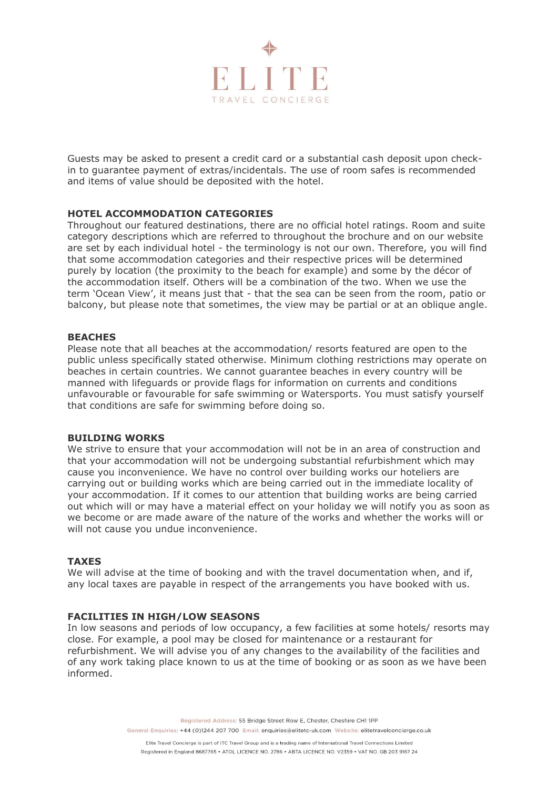

Guests may be asked to present a credit card or a substantial cash deposit upon checkin to guarantee payment of extras/incidentals. The use of room safes is recommended and items of value should be deposited with the hotel.

# **HOTEL ACCOMMODATION CATEGORIES**

Throughout our featured destinations, there are no official hotel ratings. Room and suite category descriptions which are referred to throughout the brochure and on our website are set by each individual hotel - the terminology is not our own. Therefore, you will find that some accommodation categories and their respective prices will be determined purely by location (the proximity to the beach for example) and some by the décor of the accommodation itself. Others will be a combination of the two. When we use the term 'Ocean View', it means just that - that the sea can be seen from the room, patio or balcony, but please note that sometimes, the view may be partial or at an oblique angle.

#### **BEACHES**

Please note that all beaches at the accommodation/ resorts featured are open to the public unless specifically stated otherwise. Minimum clothing restrictions may operate on beaches in certain countries. We cannot guarantee beaches in every country will be manned with lifeguards or provide flags for information on currents and conditions unfavourable or favourable for safe swimming or Watersports. You must satisfy yourself that conditions are safe for swimming before doing so.

# **BUILDING WORKS**

We strive to ensure that your accommodation will not be in an area of construction and that your accommodation will not be undergoing substantial refurbishment which may cause you inconvenience. We have no control over building works our hoteliers are carrying out or building works which are being carried out in the immediate locality of your accommodation. If it comes to our attention that building works are being carried out which will or may have a material effect on your holiday we will notify you as soon as we become or are made aware of the nature of the works and whether the works will or will not cause you undue inconvenience.

#### **TAXES**

We will advise at the time of booking and with the travel documentation when, and if, any local taxes are payable in respect of the arrangements you have booked with us.

# **FACILITIES IN HIGH/LOW SEASONS**

In low seasons and periods of low occupancy, a few facilities at some hotels/ resorts may close. For example, a pool may be closed for maintenance or a restaurant for refurbishment. We will advise you of any changes to the availability of the facilities and of any work taking place known to us at the time of booking or as soon as we have been informed.

> Registered Address: 55 Bridge Street Row E, Chester, Cheshire CH1 1PP General Enquiries: +44 (0)1244 207 700 Email: enquiries@elitetc-uk.com Website: elitetravelconcierge.co.uk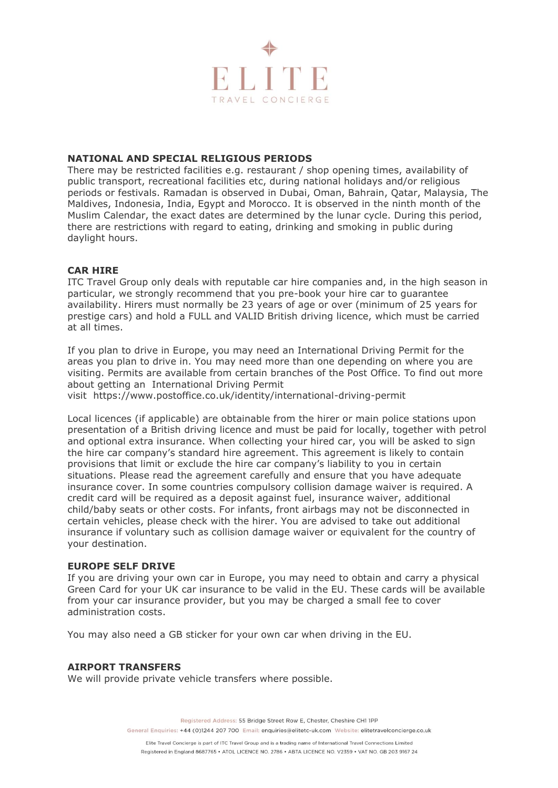

# **NATIONAL AND SPECIAL RELIGIOUS PERIODS**

There may be restricted facilities e.g. restaurant / shop opening times, availability of public transport, recreational facilities etc, during national holidays and/or religious periods or festivals. Ramadan is observed in Dubai, Oman, Bahrain, Qatar, Malaysia, The Maldives, Indonesia, India, Egypt and Morocco. It is observed in the ninth month of the Muslim Calendar, the exact dates are determined by the lunar cycle. During this period, there are restrictions with regard to eating, drinking and smoking in public during daylight hours.

# **CAR HIRE**

ITC Travel Group only deals with reputable car hire companies and, in the high season in particular, we strongly recommend that you pre-book your hire car to guarantee availability. Hirers must normally be 23 years of age or over (minimum of 25 years for prestige cars) and hold a FULL and VALID British driving licence, which must be carried at all times.

If you plan to drive in Europe, you may need an International Driving Permit for the areas you plan to drive in. You may need more than one depending on where you are visiting. Permits are available from certain branches of the Post Office. To find out more about getting an International Driving Permit

visit https://www.postoffice.co.uk/identity/international-driving-permit

Local licences (if applicable) are obtainable from the hirer or main police stations upon presentation of a British driving licence and must be paid for locally, together with petrol and optional extra insurance. When collecting your hired car, you will be asked to sign the hire car company's standard hire agreement. This agreement is likely to contain provisions that limit or exclude the hire car company's liability to you in certain situations. Please read the agreement carefully and ensure that you have adequate insurance cover. In some countries compulsory collision damage waiver is required. A credit card will be required as a deposit against fuel, insurance waiver, additional child/baby seats or other costs. For infants, front airbags may not be disconnected in certain vehicles, please check with the hirer. You are advised to take out additional insurance if voluntary such as collision damage waiver or equivalent for the country of your destination.

# **EUROPE SELF DRIVE**

If you are driving your own car in Europe, you may need to obtain and carry a physical Green Card for your UK car insurance to be valid in the EU. These cards will be available from your car insurance provider, but you may be charged a small fee to cover administration costs.

You may also need a GB sticker for your own car when driving in the EU.

# **AIRPORT TRANSFERS**

We will provide private vehicle transfers where possible.

Registered Address: 55 Bridge Street Row E, Chester, Cheshire CH1 1PP General Enquiries: +44 (0)1244 207 700 Email: enquiries@elitetc-uk.com Website: elitetravelconcierge.co.uk